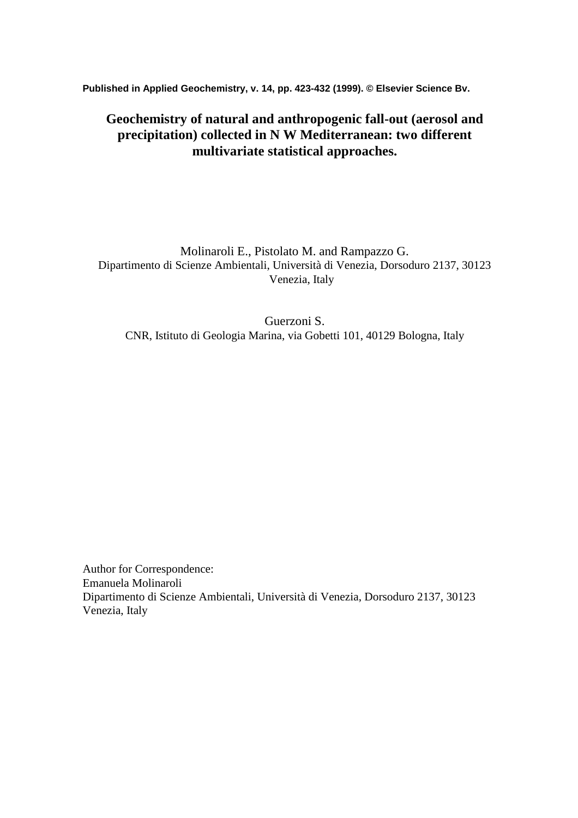**Published in Applied Geochemistry, v. 14, pp. 423-432 (1999). © Elsevier Science Bv.** 

# **Geochemistry of natural and anthropogenic fall-out (aerosol and precipitation) collected in N W Mediterranean: two different multivariate statistical approaches.**

Molinaroli E., Pistolato M. and Rampazzo G. Dipartimento di Scienze Ambientali, Università di Venezia, Dorsoduro 2137, 30123 Venezia, Italy

Guerzoni S. CNR, Istituto di Geologia Marina, via Gobetti 101, 40129 Bologna, Italy

Author for Correspondence: Emanuela Molinaroli Dipartimento di Scienze Ambientali, Università di Venezia, Dorsoduro 2137, 30123 Venezia, Italy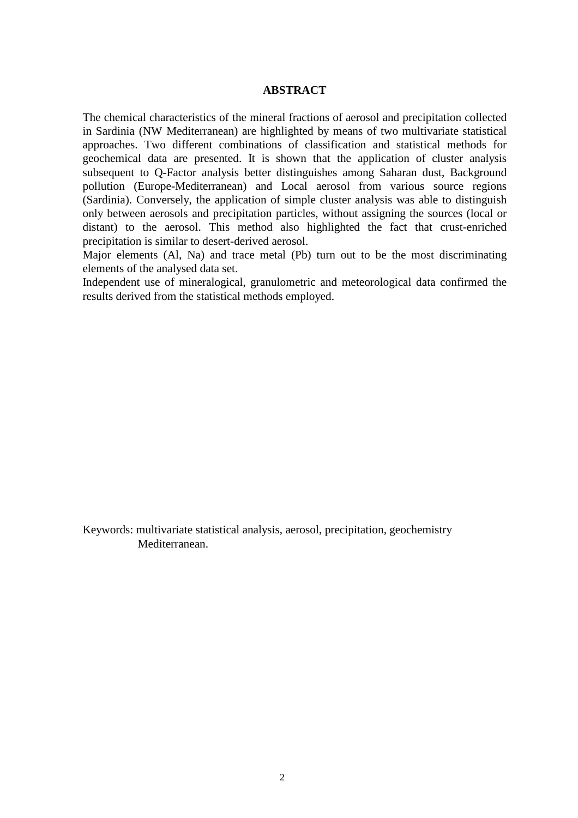### **ABSTRACT**

The chemical characteristics of the mineral fractions of aerosol and precipitation collected in Sardinia (NW Mediterranean) are highlighted by means of two multivariate statistical approaches. Two different combinations of classification and statistical methods for geochemical data are presented. It is shown that the application of cluster analysis subsequent to Q-Factor analysis better distinguishes among Saharan dust, Background pollution (Europe-Mediterranean) and Local aerosol from various source regions (Sardinia). Conversely, the application of simple cluster analysis was able to distinguish only between aerosols and precipitation particles, without assigning the sources (local or distant) to the aerosol. This method also highlighted the fact that crust-enriched precipitation is similar to desert-derived aerosol.

Major elements (Al, Na) and trace metal (Pb) turn out to be the most discriminating elements of the analysed data set.

Independent use of mineralogical, granulometric and meteorological data confirmed the results derived from the statistical methods employed.

Keywords: multivariate statistical analysis, aerosol, precipitation, geochemistry Mediterranean.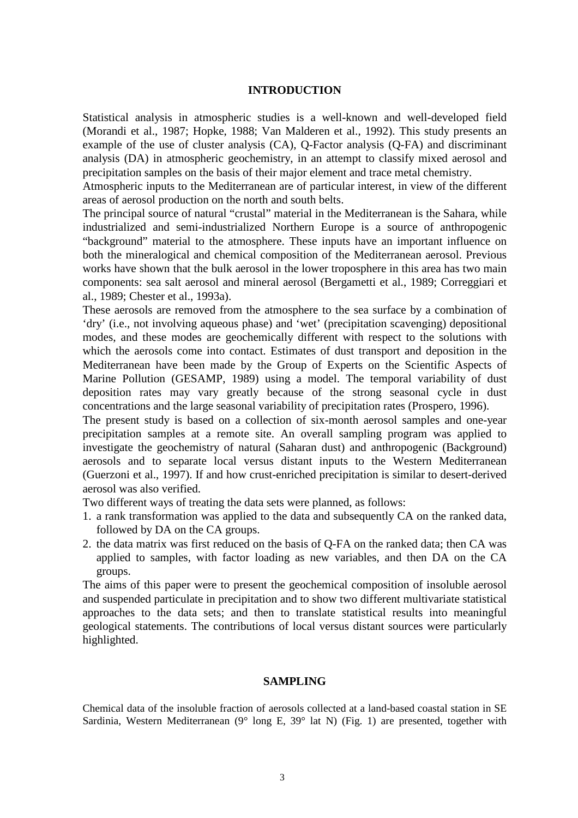#### **INTRODUCTION**

Statistical analysis in atmospheric studies is a well-known and well-developed field (Morandi et al., 1987; Hopke, 1988; Van Malderen et al., 1992). This study presents an example of the use of cluster analysis (CA), Q-Factor analysis (Q-FA) and discriminant analysis (DA) in atmospheric geochemistry, in an attempt to classify mixed aerosol and precipitation samples on the basis of their major element and trace metal chemistry.

Atmospheric inputs to the Mediterranean are of particular interest, in view of the different areas of aerosol production on the north and south belts.

The principal source of natural "crustal" material in the Mediterranean is the Sahara, while industrialized and semi-industrialized Northern Europe is a source of anthropogenic "background" material to the atmosphere. These inputs have an important influence on both the mineralogical and chemical composition of the Mediterranean aerosol. Previous works have shown that the bulk aerosol in the lower troposphere in this area has two main components: sea salt aerosol and mineral aerosol (Bergametti et al., 1989; Correggiari et al., 1989; Chester et al., 1993a).

These aerosols are removed from the atmosphere to the sea surface by a combination of 'dry' (i.e., not involving aqueous phase) and 'wet' (precipitation scavenging) depositional modes, and these modes are geochemically different with respect to the solutions with which the aerosols come into contact. Estimates of dust transport and deposition in the Mediterranean have been made by the Group of Experts on the Scientific Aspects of Marine Pollution (GESAMP, 1989) using a model. The temporal variability of dust deposition rates may vary greatly because of the strong seasonal cycle in dust concentrations and the large seasonal variability of precipitation rates (Prospero, 1996).

The present study is based on a collection of six-month aerosol samples and one-year precipitation samples at a remote site. An overall sampling program was applied to investigate the geochemistry of natural (Saharan dust) and anthropogenic (Background) aerosols and to separate local versus distant inputs to the Western Mediterranean (Guerzoni et al., 1997). If and how crust-enriched precipitation is similar to desert-derived aerosol was also verified.

Two different ways of treating the data sets were planned, as follows:

- 1. a rank transformation was applied to the data and subsequently CA on the ranked data, followed by DA on the CA groups.
- 2. the data matrix was first reduced on the basis of Q-FA on the ranked data; then CA was applied to samples, with factor loading as new variables, and then DA on the CA groups.

The aims of this paper were to present the geochemical composition of insoluble aerosol and suspended particulate in precipitation and to show two different multivariate statistical approaches to the data sets; and then to translate statistical results into meaningful geological statements. The contributions of local versus distant sources were particularly highlighted.

## **SAMPLING**

Chemical data of the insoluble fraction of aerosols collected at a land-based coastal station in SE Sardinia, Western Mediterranean (9° long E, 39° lat N) (Fig. 1) are presented, together with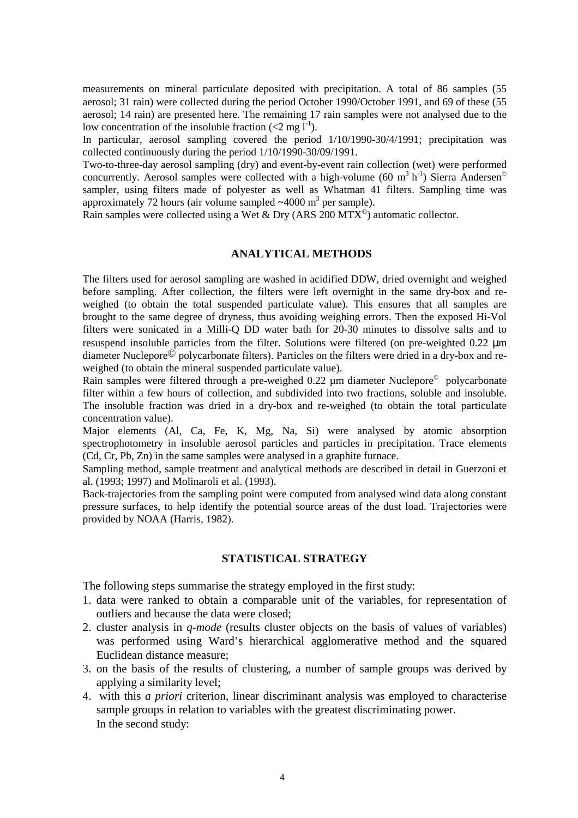measurements on mineral particulate deposited with precipitation. A total of 86 samples (55 aerosol; 31 rain) were collected during the period October 1990/October 1991, and 69 of these (55 aerosol; 14 rain) are presented here. The remaining 17 rain samples were not analysed due to the low concentration of the insoluble fraction (<2 mg  $1^{-1}$ ).

In particular, aerosol sampling covered the period 1/10/1990-30/4/1991; precipitation was collected continuously during the period 1/10/1990-30/09/1991.

Two-to-three-day aerosol sampling (dry) and event-by-event rain collection (wet) were performed concurrently. Aerosol samples were collected with a high-volume (60 m<sup>3</sup> h<sup>-1</sup>) Sierra Andersen<sup>©</sup> sampler, using filters made of polyester as well as Whatman 41 filters. Sampling time was approximately 72 hours (air volume sampled  $\sim$  4000 m<sup>3</sup> per sample).

Rain samples were collected using a Wet & Dry (ARS 200 MTX<sup>®</sup>) automatic collector.

### **ANALYTICAL METHODS**

The filters used for aerosol sampling are washed in acidified DDW, dried overnight and weighed before sampling. After collection, the filters were left overnight in the same dry-box and reweighed (to obtain the total suspended particulate value). This ensures that all samples are brought to the same degree of dryness, thus avoiding weighing errors. Then the exposed Hi-Vol filters were sonicated in a Milli-Q DD water bath for 20-30 minutes to dissolve salts and to resuspend insoluble particles from the filter. Solutions were filtered (on pre-weighted 0.22 µm diameter Nuclepore© polycarbonate filters). Particles on the filters were dried in a dry-box and reweighed (to obtain the mineral suspended particulate value).

Rain samples were filtered through a pre-weighed 0.22 µm diameter Nuclepore<sup>©</sup> polycarbonate filter within a few hours of collection, and subdivided into two fractions, soluble and insoluble. The insoluble fraction was dried in a dry-box and re-weighed (to obtain the total particulate concentration value).

Major elements (Al, Ca, Fe, K, Mg, Na, Si) were analysed by atomic absorption spectrophotometry in insoluble aerosol particles and particles in precipitation. Trace elements (Cd, Cr, Pb, Zn) in the same samples were analysed in a graphite furnace.

Sampling method, sample treatment and analytical methods are described in detail in Guerzoni et al. (1993; 1997) and Molinaroli et al. (1993).

Back-trajectories from the sampling point were computed from analysed wind data along constant pressure surfaces, to help identify the potential source areas of the dust load. Trajectories were provided by NOAA (Harris, 1982).

# **STATISTICAL STRATEGY**

The following steps summarise the strategy employed in the first study:

- 1. data were ranked to obtain a comparable unit of the variables, for representation of outliers and because the data were closed;
- 2. cluster analysis in *q-mode* (results cluster objects on the basis of values of variables) was performed using Ward's hierarchical agglomerative method and the squared Euclidean distance measure;
- 3. on the basis of the results of clustering, a number of sample groups was derived by applying a similarity level;
- 4. with this *a priori* criterion, linear discriminant analysis was employed to characterise sample groups in relation to variables with the greatest discriminating power. In the second study: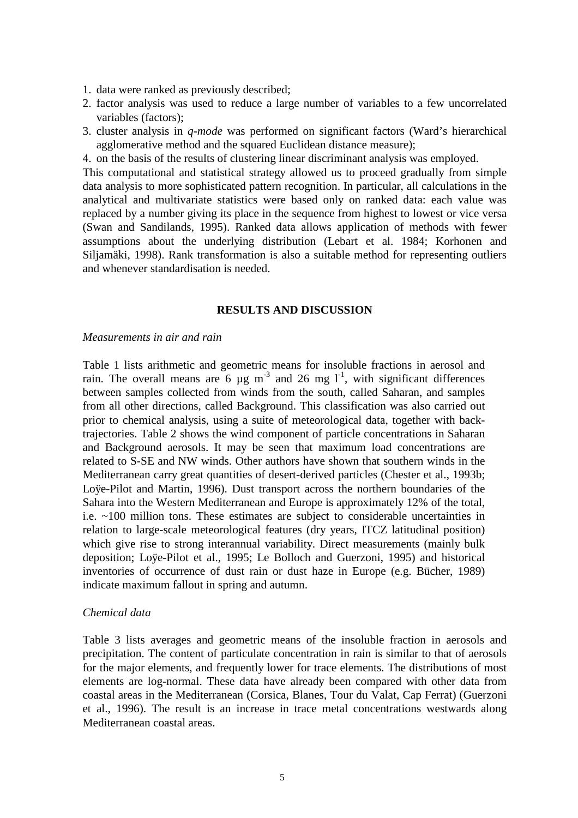- 1. data were ranked as previously described;
- 2. factor analysis was used to reduce a large number of variables to a few uncorrelated variables (factors);
- 3. cluster analysis in *q-mode* was performed on significant factors (Ward's hierarchical agglomerative method and the squared Euclidean distance measure);
- 4. on the basis of the results of clustering linear discriminant analysis was employed.

This computational and statistical strategy allowed us to proceed gradually from simple data analysis to more sophisticated pattern recognition. In particular, all calculations in the analytical and multivariate statistics were based only on ranked data: each value was replaced by a number giving its place in the sequence from highest to lowest or vice versa (Swan and Sandilands, 1995). Ranked data allows application of methods with fewer assumptions about the underlying distribution (Lebart et al. 1984; Korhonen and Siljamäki, 1998). Rank transformation is also a suitable method for representing outliers and whenever standardisation is needed.

### **RESULTS AND DISCUSSION**

#### *Measurements in air and rain*

Table 1 lists arithmetic and geometric means for insoluble fractions in aerosol and rain. The overall means are 6  $\mu$ g m<sup>-3</sup> and 26 mg l<sup>-1</sup>, with significant differences between samples collected from winds from the south, called Saharan, and samples from all other directions, called Background. This classification was also carried out prior to chemical analysis, using a suite of meteorological data, together with backtrajectories. Table 2 shows the wind component of particle concentrations in Saharan and Background aerosols. It may be seen that maximum load concentrations are related to S-SE and NW winds. Other authors have shown that southern winds in the Mediterranean carry great quantities of desert-derived particles (Chester et al., 1993b; Loÿe-Pilot and Martin, 1996). Dust transport across the northern boundaries of the Sahara into the Western Mediterranean and Europe is approximately 12% of the total, i.e. ~100 million tons. These estimates are subject to considerable uncertainties in relation to large-scale meteorological features (dry years, ITCZ latitudinal position) which give rise to strong interannual variability. Direct measurements (mainly bulk deposition; Loÿe-Pilot et al., 1995; Le Bolloch and Guerzoni, 1995) and historical inventories of occurrence of dust rain or dust haze in Europe (e.g. Bücher, 1989) indicate maximum fallout in spring and autumn.

#### *Chemical data*

Table 3 lists averages and geometric means of the insoluble fraction in aerosols and precipitation. The content of particulate concentration in rain is similar to that of aerosols for the major elements, and frequently lower for trace elements. The distributions of most elements are log-normal. These data have already been compared with other data from coastal areas in the Mediterranean (Corsica, Blanes, Tour du Valat, Cap Ferrat) (Guerzoni et al., 1996). The result is an increase in trace metal concentrations westwards along Mediterranean coastal areas.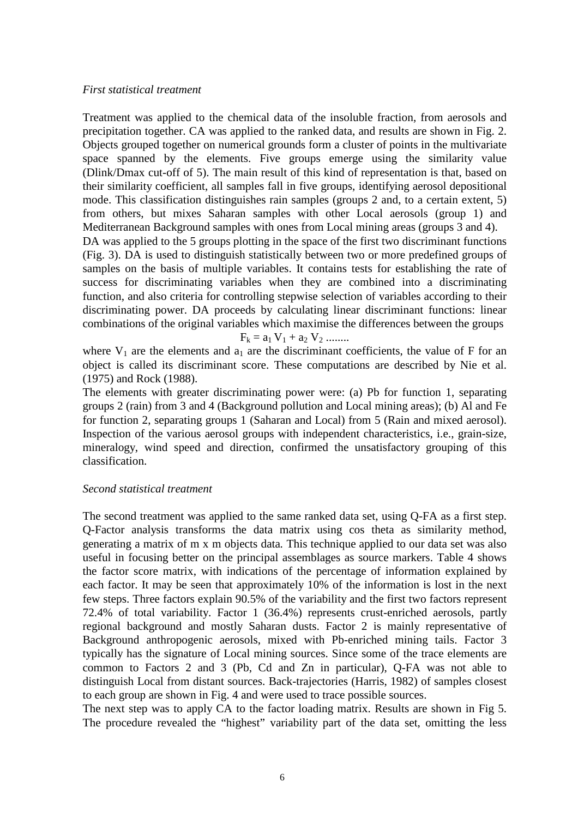#### *First statistical treatment*

Treatment was applied to the chemical data of the insoluble fraction, from aerosols and precipitation together. CA was applied to the ranked data, and results are shown in Fig. 2. Objects grouped together on numerical grounds form a cluster of points in the multivariate space spanned by the elements. Five groups emerge using the similarity value (Dlink/Dmax cut-off of 5). The main result of this kind of representation is that, based on their similarity coefficient, all samples fall in five groups, identifying aerosol depositional mode. This classification distinguishes rain samples (groups 2 and, to a certain extent, 5) from others, but mixes Saharan samples with other Local aerosols (group 1) and Mediterranean Background samples with ones from Local mining areas (groups 3 and 4). DA was applied to the 5 groups plotting in the space of the first two discriminant functions (Fig. 3). DA is used to distinguish statistically between two or more predefined groups of samples on the basis of multiple variables. It contains tests for establishing the rate of success for discriminating variables when they are combined into a discriminating function, and also criteria for controlling stepwise selection of variables according to their

combinations of the original variables which maximise the differences between the groups  $F_k = a_1 V_1 + a_2 V_2$  ........

where  $V_1$  are the elements and  $a_1$  are the discriminant coefficients, the value of F for an object is called its discriminant score. These computations are described by Nie et al. (1975) and Rock (1988).

discriminating power. DA proceeds by calculating linear discriminant functions: linear

The elements with greater discriminating power were: (a) Pb for function 1, separating groups 2 (rain) from 3 and 4 (Background pollution and Local mining areas); (b) Al and Fe for function 2, separating groups 1 (Saharan and Local) from 5 (Rain and mixed aerosol). Inspection of the various aerosol groups with independent characteristics, i.e., grain-size, mineralogy, wind speed and direction, confirmed the unsatisfactory grouping of this classification.

### *Second statistical treatment*

The second treatment was applied to the same ranked data set, using Q-FA as a first step. Q-Factor analysis transforms the data matrix using cos theta as similarity method, generating a matrix of m x m objects data*.* This technique applied to our data set was also useful in focusing better on the principal assemblages as source markers. Table 4 shows the factor score matrix, with indications of the percentage of information explained by each factor. It may be seen that approximately 10% of the information is lost in the next few steps. Three factors explain 90.5% of the variability and the first two factors represent 72.4% of total variability. Factor 1 (36.4%) represents crust-enriched aerosols, partly regional background and mostly Saharan dusts. Factor 2 is mainly representative of Background anthropogenic aerosols, mixed with Pb-enriched mining tails. Factor 3 typically has the signature of Local mining sources. Since some of the trace elements are common to Factors 2 and 3 (Pb, Cd and Zn in particular), Q-FA was not able to distinguish Local from distant sources. Back-trajectories (Harris, 1982) of samples closest to each group are shown in Fig. 4 and were used to trace possible sources.

The next step was to apply CA to the factor loading matrix. Results are shown in Fig 5. The procedure revealed the "highest" variability part of the data set, omitting the less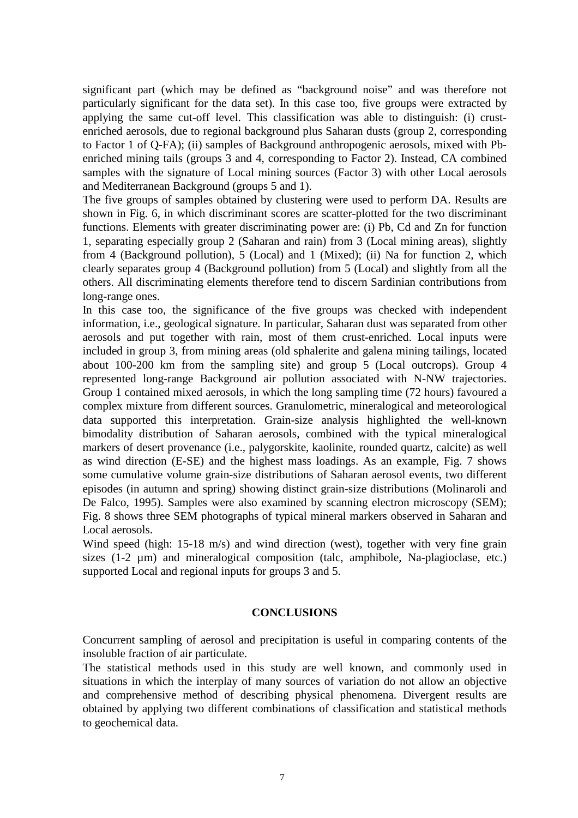significant part (which may be defined as "background noise" and was therefore not particularly significant for the data set). In this case too, five groups were extracted by applying the same cut-off level. This classification was able to distinguish: (i) crustenriched aerosols, due to regional background plus Saharan dusts (group 2, corresponding to Factor 1 of Q-FA); (ii) samples of Background anthropogenic aerosols, mixed with Pbenriched mining tails (groups 3 and 4, corresponding to Factor 2). Instead, CA combined samples with the signature of Local mining sources (Factor 3) with other Local aerosols and Mediterranean Background (groups 5 and 1).

The five groups of samples obtained by clustering were used to perform DA. Results are shown in Fig. 6, in which discriminant scores are scatter-plotted for the two discriminant functions. Elements with greater discriminating power are: (i) Pb, Cd and Zn for function 1, separating especially group 2 (Saharan and rain) from 3 (Local mining areas), slightly from 4 (Background pollution), 5 (Local) and 1 (Mixed); (ii) Na for function 2, which clearly separates group 4 (Background pollution) from 5 (Local) and slightly from all the others. All discriminating elements therefore tend to discern Sardinian contributions from long-range ones.

In this case too, the significance of the five groups was checked with independent information, i.e., geological signature. In particular, Saharan dust was separated from other aerosols and put together with rain, most of them crust-enriched. Local inputs were included in group 3, from mining areas (old sphalerite and galena mining tailings, located about 100-200 km from the sampling site) and group 5 (Local outcrops). Group 4 represented long-range Background air pollution associated with N-NW trajectories. Group 1 contained mixed aerosols, in which the long sampling time (72 hours) favoured a complex mixture from different sources. Granulometric, mineralogical and meteorological data supported this interpretation. Grain-size analysis highlighted the well-known bimodality distribution of Saharan aerosols, combined with the typical mineralogical markers of desert provenance (i.e., palygorskite, kaolinite, rounded quartz, calcite) as well as wind direction (E-SE) and the highest mass loadings. As an example, Fig. 7 shows some cumulative volume grain-size distributions of Saharan aerosol events, two different episodes (in autumn and spring) showing distinct grain-size distributions (Molinaroli and De Falco, 1995). Samples were also examined by scanning electron microscopy (SEM); Fig. 8 shows three SEM photographs of typical mineral markers observed in Saharan and Local aerosols.

Wind speed (high: 15-18 m/s) and wind direction (west), together with very fine grain sizes (1-2 µm) and mineralogical composition (talc, amphibole, Na-plagioclase, etc.) supported Local and regional inputs for groups 3 and 5.

# **CONCLUSIONS**

Concurrent sampling of aerosol and precipitation is useful in comparing contents of the insoluble fraction of air particulate.

The statistical methods used in this study are well known, and commonly used in situations in which the interplay of many sources of variation do not allow an objective and comprehensive method of describing physical phenomena. Divergent results are obtained by applying two different combinations of classification and statistical methods to geochemical data.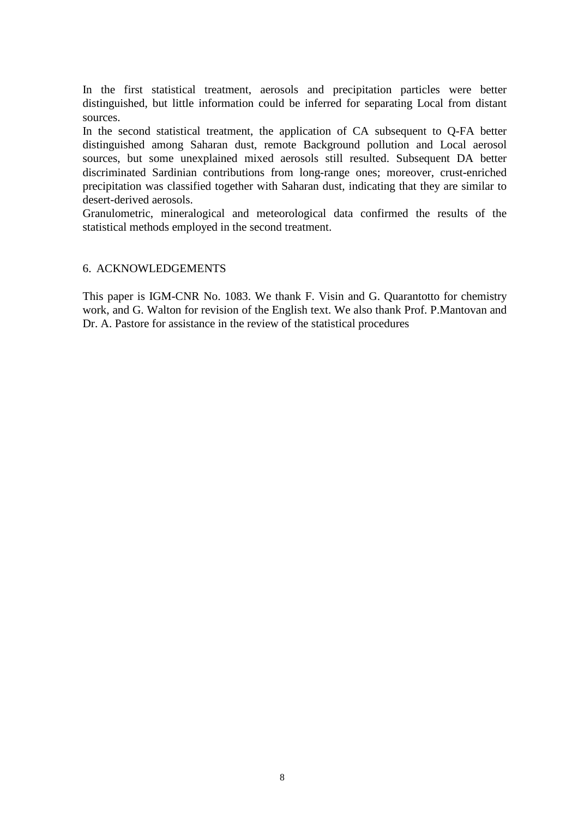In the first statistical treatment, aerosols and precipitation particles were better distinguished, but little information could be inferred for separating Local from distant sources.

In the second statistical treatment, the application of CA subsequent to Q-FA better distinguished among Saharan dust, remote Background pollution and Local aerosol sources, but some unexplained mixed aerosols still resulted. Subsequent DA better discriminated Sardinian contributions from long-range ones; moreover, crust-enriched precipitation was classified together with Saharan dust, indicating that they are similar to desert-derived aerosols.

Granulometric, mineralogical and meteorological data confirmed the results of the statistical methods employed in the second treatment.

## 6. ACKNOWLEDGEMENTS

This paper is IGM-CNR No. 1083. We thank F. Visin and G. Quarantotto for chemistry work, and G. Walton for revision of the English text. We also thank Prof. P.Mantovan and Dr. A. Pastore for assistance in the review of the statistical procedures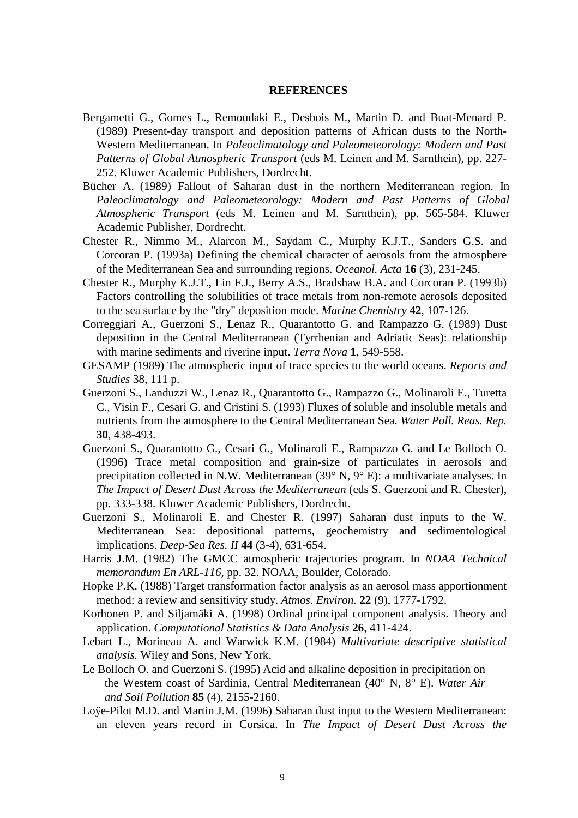#### **REFERENCES**

- Bergametti G., Gomes L., Remoudaki E., Desbois M., Martin D. and Buat-Menard P. (1989) Present-day transport and deposition patterns of African dusts to the North-Western Mediterranean. In *Paleoclimatology and Paleometeorology: Modern and Past Patterns of Global Atmospheric Transport* (eds M. Leinen and M. Sarnthein), pp. 227- 252. Kluwer Academic Publishers, Dordrecht.
- Bücher A. (1989) Fallout of Saharan dust in the northern Mediterranean region. In *Paleoclimatology and Paleometeorology: Modern and Past Patterns of Global Atmospheric Transport* (eds M. Leinen and M. Sarnthein), pp. 565-584. Kluwer Academic Publisher, Dordrecht.
- Chester R., Nimmo M., Alarcon M., Saydam C., Murphy K.J.T., Sanders G.S. and Corcoran P. (1993a) Defining the chemical character of aerosols from the atmosphere of the Mediterranean Sea and surrounding regions. *Oceanol. Acta* **16** (3), 231-245.
- Chester R., Murphy K.J.T., Lin F.J., Berry A.S., Bradshaw B.A. and Corcoran P. (1993b) Factors controlling the solubilities of trace metals from non-remote aerosols deposited to the sea surface by the "dry" deposition mode. *Marine Chemistry* **42**, 107-126.
- Correggiari A., Guerzoni S., Lenaz R., Quarantotto G. and Rampazzo G. (1989) Dust deposition in the Central Mediterranean (Tyrrhenian and Adriatic Seas): relationship with marine sediments and riverine input. *Terra Nova* **1**, 549-558.
- GESAMP (1989) The atmospheric input of trace species to the world oceans. *Reports and Studies* 38, 111 p.
- Guerzoni S., Landuzzi W., Lenaz R., Quarantotto G., Rampazzo G., Molinaroli E., Turetta C., Visin F., Cesari G. and Cristini S. (1993) Fluxes of soluble and insoluble metals and nutrients from the atmosphere to the Central Mediterranean Sea. *Water Poll. Reas. Rep.* **30**, 438-493.
- Guerzoni S., Quarantotto G., Cesari G., Molinaroli E., Rampazzo G. and Le Bolloch O. (1996) Trace metal composition and grain-size of particulates in aerosols and precipitation collected in N.W. Mediterranean (39° N, 9° E): a multivariate analyses. In *The Impact of Desert Dust Across the Mediterranean* (eds S. Guerzoni and R. Chester), pp. 333-338. Kluwer Academic Publishers, Dordrecht.
- Guerzoni S., Molinaroli E. and Chester R. (1997) Saharan dust inputs to the W. Mediterranean Sea: depositional patterns, geochemistry and sedimentological implications. *Deep-Sea Res. II* **44** (3-4), 631-654.
- Harris J.M. (1982) The GMCC atmospheric trajectories program. In *NOAA Technical memorandum En ARL*-*116,* pp. 32. NOAA, Boulder, Colorado.
- Hopke P.K. (1988) Target transformation factor analysis as an aerosol mass apportionment method: a review and sensitivity study. *Atmos. Environ.* **22** (9), 1777-1792.
- Korhonen P. and Siljamäki A. (1998) Ordinal principal component analysis. Theory and application. *Computational Statistics & Data Analysis* **26**, 411-424.
- Lebart L., Morineau A. and Warwick K.M. (1984) *Multivariate descriptive statistical analysis.* Wiley and Sons, New York.
- Le Bolloch O. and Guerzoni S. (1995) Acid and alkaline deposition in precipitation on the Western coast of Sardinia, Central Mediterranean (40° N, 8° E). *Water Air and Soil Pollution* **85** (4), 2155-2160.
- Loÿe-Pilot M.D. and Martin J.M. (1996) Saharan dust input to the Western Mediterranean: an eleven years record in Corsica. In *The Impact of Desert Dust Across the*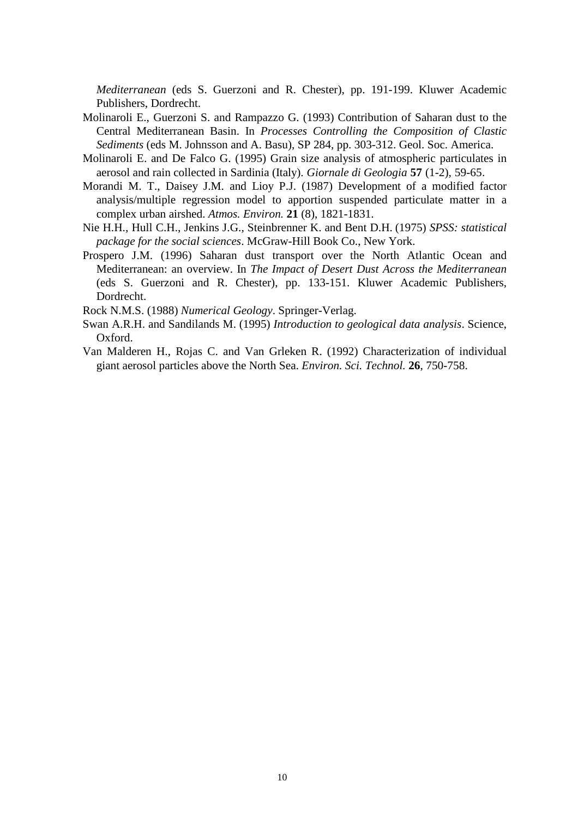*Mediterranean* (eds S. Guerzoni and R. Chester), pp. 191-199. Kluwer Academic Publishers, Dordrecht.

- Molinaroli E., Guerzoni S. and Rampazzo G. (1993) Contribution of Saharan dust to the Central Mediterranean Basin. In *Processes Controlling the Composition of Clastic Sediments* (eds M. Johnsson and A. Basu), SP 284, pp. 303-312. Geol. Soc. America.
- Molinaroli E. and De Falco G. (1995) Grain size analysis of atmospheric particulates in aerosol and rain collected in Sardinia (Italy). *Giornale di Geologia* **57** (1-2), 59-65.
- Morandi M. T., Daisey J.M. and Lioy P.J. (1987) Development of a modified factor analysis/multiple regression model to apportion suspended particulate matter in a complex urban airshed. *Atmos. Environ.* **21** (8), 1821-1831.
- Nie H.H., Hull C.H., Jenkins J.G., Steinbrenner K. and Bent D.H. (1975) *SPSS: statistical package for the social sciences*. McGraw-Hill Book Co., New York.
- Prospero J.M. (1996) Saharan dust transport over the North Atlantic Ocean and Mediterranean: an overview. In *The Impact of Desert Dust Across the Mediterranean*  (eds S. Guerzoni and R. Chester), pp. 133-151. Kluwer Academic Publishers, Dordrecht.

Rock N.M.S. (1988) *Numerical Geology*. Springer-Verlag.

- Swan A.R.H. and Sandilands M. (1995) *Introduction to geological data analysis*. Science, Oxford.
- Van Malderen H., Rojas C. and Van Grleken R. (1992) Characterization of individual giant aerosol particles above the North Sea. *Environ. Sci. Technol.* **26**, 750-758.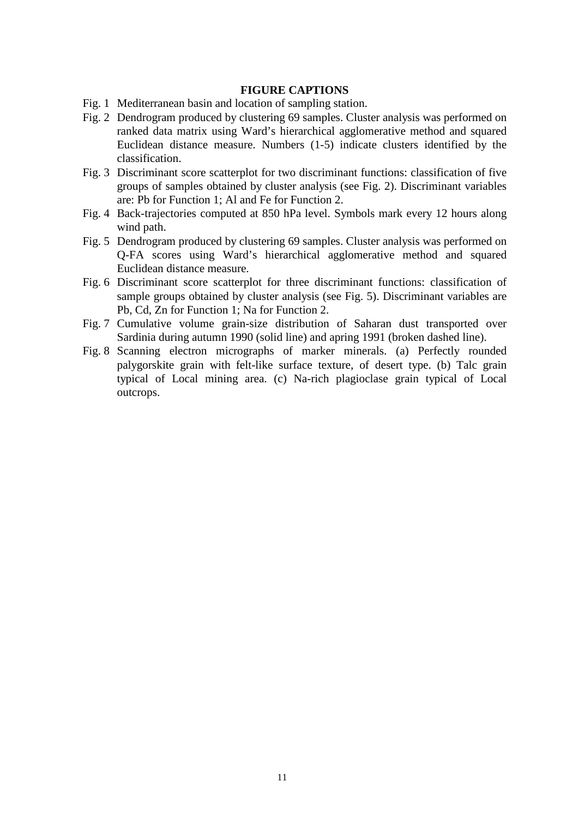## **FIGURE CAPTIONS**

- Fig. 1 Mediterranean basin and location of sampling station.
- Fig. 2 Dendrogram produced by clustering 69 samples. Cluster analysis was performed on ranked data matrix using Ward's hierarchical agglomerative method and squared Euclidean distance measure. Numbers (1-5) indicate clusters identified by the classification.
- Fig. 3 Discriminant score scatterplot for two discriminant functions: classification of five groups of samples obtained by cluster analysis (see Fig. 2). Discriminant variables are: Pb for Function 1; Al and Fe for Function 2.
- Fig. 4 Back-trajectories computed at 850 hPa level. Symbols mark every 12 hours along wind path.
- Fig. 5 Dendrogram produced by clustering 69 samples. Cluster analysis was performed on Q-FA scores using Ward's hierarchical agglomerative method and squared Euclidean distance measure.
- Fig. 6 Discriminant score scatterplot for three discriminant functions: classification of sample groups obtained by cluster analysis (see Fig. 5). Discriminant variables are Pb, Cd, Zn for Function 1; Na for Function 2.
- Fig. 7 Cumulative volume grain-size distribution of Saharan dust transported over Sardinia during autumn 1990 (solid line) and apring 1991 (broken dashed line).
- Fig. 8 Scanning electron micrographs of marker minerals. (a) Perfectly rounded palygorskite grain with felt-like surface texture, of desert type. (b) Talc grain typical of Local mining area. (c) Na-rich plagioclase grain typical of Local outcrops.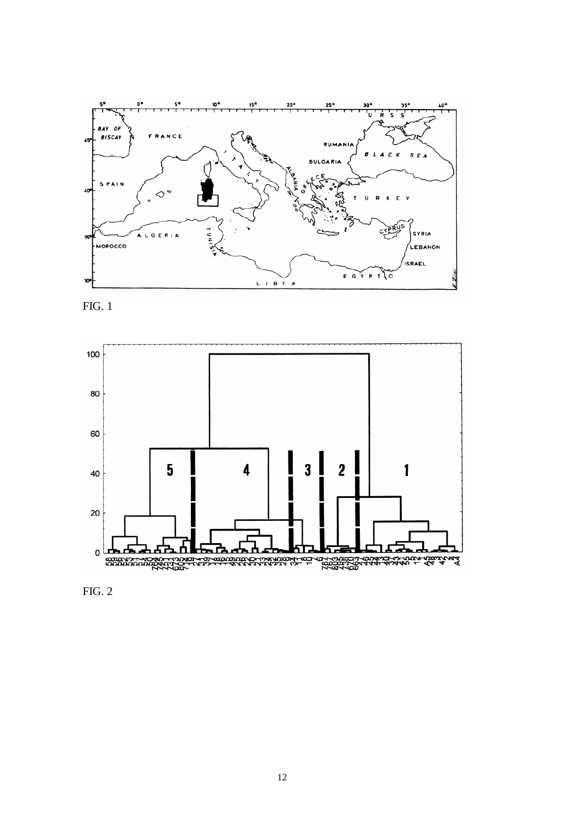





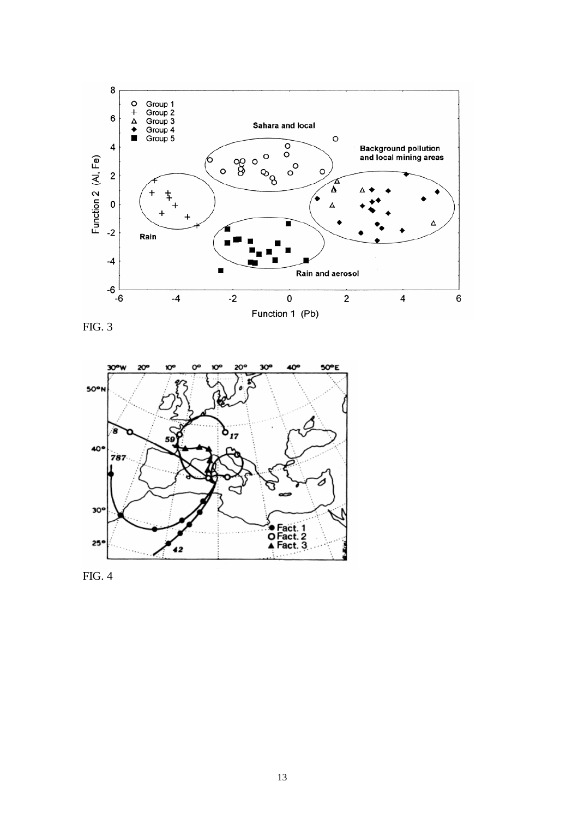

FIG. 3



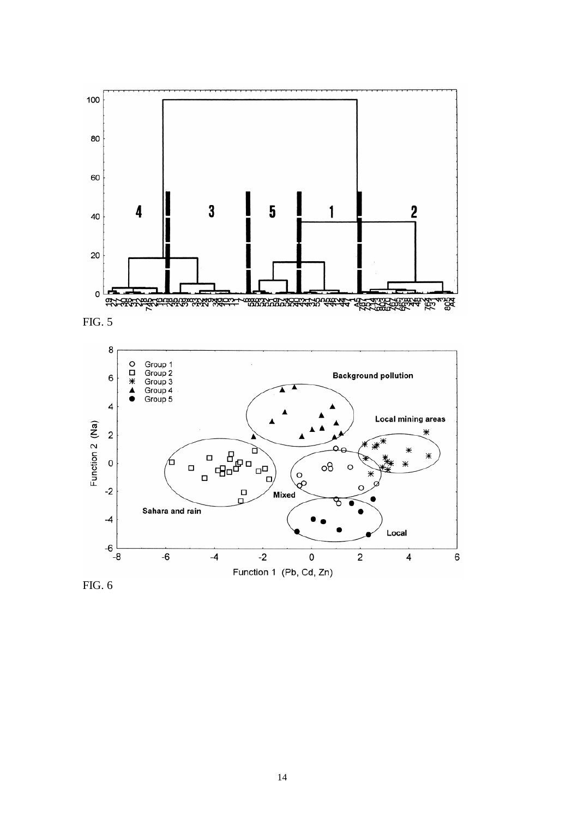





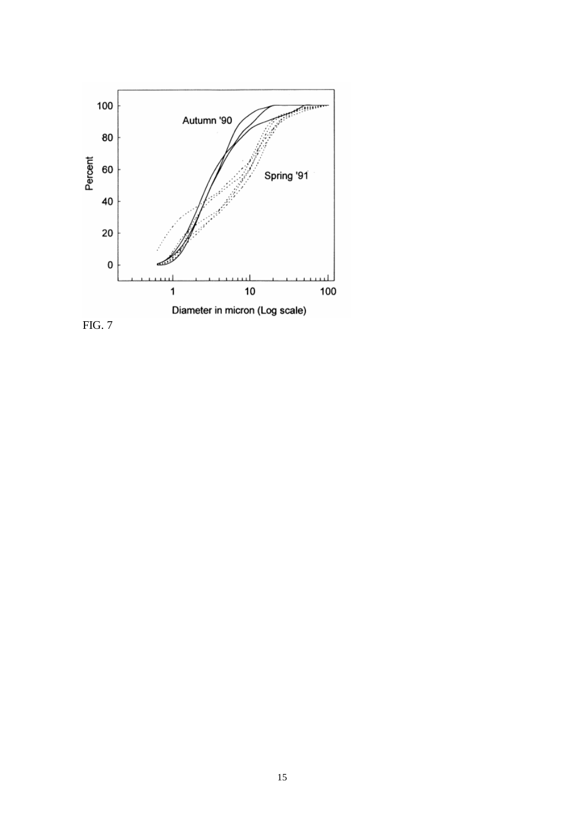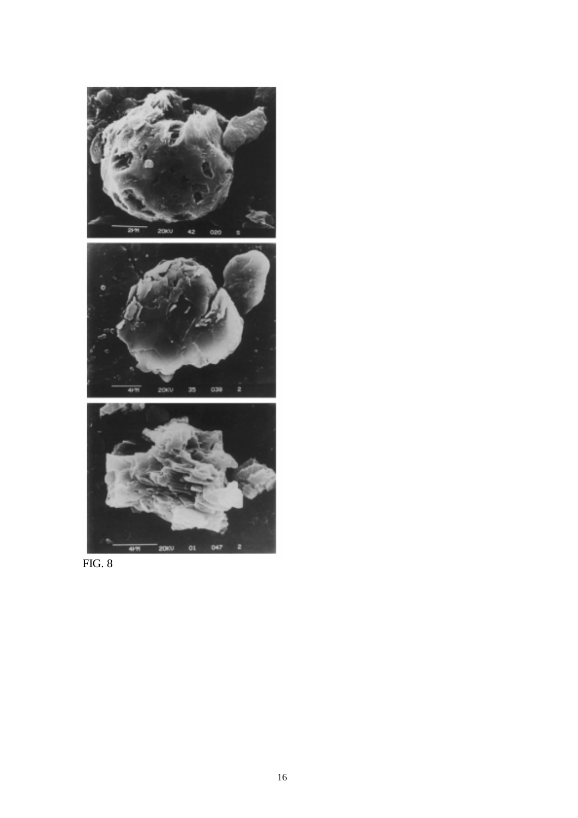

FIG. 8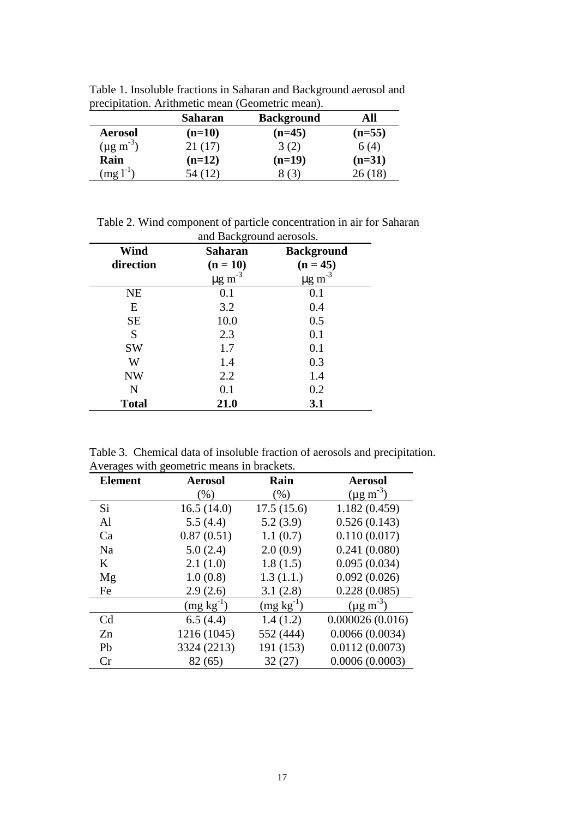|                      | <b>Saharan</b><br><b>Background</b> |          | All      |
|----------------------|-------------------------------------|----------|----------|
| <b>Aerosol</b>       | $(n=10)$                            | $(n=45)$ | $(n=55)$ |
| $(\mu g m^{-3})$     | 21(17)                              | 3(2)     | 6(4)     |
| Rain                 | $(n=12)$                            | $(n=19)$ | $(n=31)$ |
| $(mg)$ <sup>-1</sup> | 54 (12)                             |          | 26(18)   |

Table 1. Insoluble fractions in Saharan and Background aerosol and precipitation. Arithmetic mean (Geometric mean).

Table 2. Wind component of particle concentration in air for Saharan and Background aerosols.

| Wind         | ັ<br><b>Saharan</b>     | <b>Background</b>       |
|--------------|-------------------------|-------------------------|
| direction    | $(n = 10)$              | $(n = 45)$              |
|              | $\mu$ g m <sup>-3</sup> | $\mu$ g m <sup>-3</sup> |
| <b>NE</b>    | 0.1                     | 0.1                     |
| E            | 3.2                     | 0.4                     |
| <b>SE</b>    | 10.0                    | 0.5                     |
| S            | 2.3                     | 0.1                     |
| <b>SW</b>    | 1.7                     | 0.1                     |
| W            | 1.4                     | 0.3                     |
| <b>NW</b>    | 2.2                     | 1.4                     |
| N            | 0.1                     | 0.2                     |
| <b>Total</b> | 21.0                    | 3.1                     |

Table 3. Chemical data of insoluble fraction of aerosols and precipitation. Averages with geometric means in brackets.

| <b>Element</b> | <b>Aerosol</b> | Rain           | <b>Aerosol</b>      |
|----------------|----------------|----------------|---------------------|
|                | (% )           | $(\% )$        | $(\mu g \, m^{-3})$ |
| Si.            | 16.5(14.0)     | 17.5(15.6)     | 1.182(0.459)        |
| Al             | 5.5(4.4)       | 5.2(3.9)       | 0.526(0.143)        |
| Ca             | 0.87(0.51)     | 1.1(0.7)       | 0.110(0.017)        |
| Na             | 5.0(2.4)       | 2.0(0.9)       | 0.241(0.080)        |
| K              | 2.1(1.0)       | 1.8(1.5)       | 0.095(0.034)        |
| Mg             | 1.0(0.8)       | 1.3(1.1.)      | 0.092(0.026)        |
| Fe             | 2.9(2.6)       | 3.1(2.8)       | 0.228(0.085)        |
|                | $(mg kg^{-1})$ | $(mg kg^{-1})$ | $(\mu g \, m^{-3})$ |
| C <sub>d</sub> | 6.5(4.4)       | 1.4(1.2)       | 0.000026(0.016)     |
| Zn             | 1216 (1045)    | 552 (444)      | 0.0066(0.0034)      |
| Pb             | 3324 (2213)    | 191 (153)      | 0.0112(0.0073)      |
| Cr             | 82 (65)        | 32(27)         | 0.0006(0.0003)      |